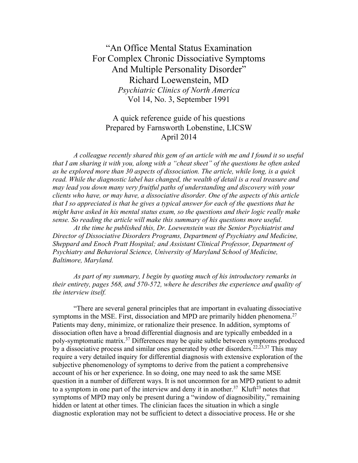"An Office Mental Status Examination For Complex Chronic Dissociative Symptoms And Multiple Personality Disorder" Richard Loewenstein, MD *Psychiatric Clinics of North America* Vol 14, No. 3, September 1991

## A quick reference guide of his questions Prepared by Farnsworth Lobenstine, LICSW April 2014

*A colleague recently shared this gem of an article with me and I found it so useful that I am sharing it with you, along with a "cheat sheet" of the questions he often asked as he explored more than 30 aspects of dissociation. The article, while long, is a quick read. While the diagnostic label has changed, the wealth of detail is a real treasure and may lead you down many very fruitful paths of understanding and discovery with your clients who have, or may have, a dissociative disorder. One of the aspects of this article that I so appreciated is that he gives a typical answer for each of the questions that he might have asked in his mental status exam, so the questions and their logic really make sense. So reading the article will make this summary of his questions more useful.*

*At the time he published this, Dr. Loewenstein was the Senior Psychiatrist and Director of Dissociative Disorders Programs, Department of Psychiatry and Medicine, Sheppard and Enoch Pratt Hospital; and Assistant Clinical Professor, Department of Psychiatry and Behavioral Science, University of Maryland School of Medicine, Baltimore, Maryland.*

*As part of my summary, I begin by quoting much of his introductory remarks in their entirety, pages 568, and 570-572, where he describes the experience and quality of the interview itself.*

"There are several general principles that are important in evaluating dissociative symptoms in the MSE. First, dissociation and MPD are primarily hidden phenomena.<sup>27</sup> Patients may deny, minimize, or rationalize their presence. In addition, symptoms of dissociation often have a broad differential diagnosis and are typically embedded in a poly-symptomatic matrix.37 Differences may be quite subtle between symptoms produced by a dissociative process and similar ones generated by other disorders.<sup>22,23,37</sup> This may require a very detailed inquiry for differential diagnosis with extensive exploration of the subjective phenomenology of symptoms to derive from the patient a comprehensive account of his or her experience. In so doing, one may need to ask the same MSE question in a number of different ways. It is not uncommon for an MPD patient to admit to a symptom in one part of the interview and deny it in another.<sup>37</sup> Kluft<sup>23</sup> notes that symptoms of MPD may only be present during a "window of diagnosibility," remaining hidden or latent at other times. The clinician faces the situation in which a single diagnostic exploration may not be sufficient to detect a dissociative process. He or she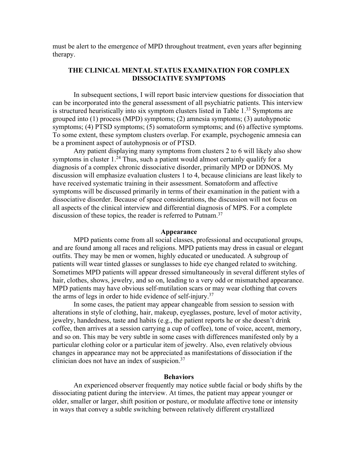must be alert to the emergence of MPD throughout treatment, even years after beginning therapy.

#### **THE CLINICAL MENTAL STATUS EXAMINATION FOR COMPLEX DISSOCIATIVE SYMPTOMS**

In subsequent sections, I will report basic interview questions for dissociation that can be incorporated into the general assessment of all psychiatric patients. This interview is structured heuristically into six symptom clusters listed in Table 1.<sup>33</sup> Symptoms are grouped into (1) process (MPD) symptoms; (2) amnesia symptoms; (3) autohypnotic symptoms; (4) PTSD symptoms; (5) somatoform symptoms; and (6) affective symptoms. To some extent, these symptom clusters overlap. For example, psychogenic amnesia can be a prominent aspect of autohypnosis or of PTSD.

Any patient displaying many symptoms from clusters 2 to 6 will likely also show symptoms in cluster  $1<sup>24</sup>$  Thus, such a patient would almost certainly qualify for a diagnosis of a complex chronic dissociative disorder, primarily MPD or DDNOS. My discussion will emphasize evaluation clusters 1 to 4, because clinicians are least likely to have received systematic training in their assessment. Somatoform and affective symptoms will be discussed primarily in terms of their examination in the patient with a dissociative disorder. Because of space considerations, the discussion will not focus on all aspects of the clinical interview and differential diagnosis of MPS. For a complete discussion of these topics, the reader is referred to Putnam.<sup>37</sup>

#### **Appearance**

MPD patients come from all social classes, professional and occupational groups, and are found among all races and religions. MPD patients may dress in casual or elegant outfits. They may be men or women, highly educated or uneducated. A subgroup of patients will wear tinted glasses or sunglasses to hide eye changed related to switching. Sometimes MPD patients will appear dressed simultaneously in several different styles of hair, clothes, shows, jewelry, and so on, leading to a very odd or mismatched appearance. MPD patients may have obvious self-mutilation scars or may wear clothing that covers the arms of legs in order to hide evidence of self-injury.37

In some cases, the patient may appear changeable from session to session with alterations in style of clothing, hair, makeup, eyeglasses, posture, level of motor activity, jewelry, handedness, taste and habits (e.g., the patient reports he or she doesn't drink coffee, then arrives at a session carrying a cup of coffee), tone of voice, accent, memory, and so on. This may be very subtle in some cases with differences manifested only by a particular clothing color or a particular item of jewelry. Also, even relatively obvious changes in appearance may not be appreciated as manifestations of dissociation if the clinician does not have an index of suspicion.37

#### **Behaviors**

An experienced observer frequently may notice subtle facial or body shifts by the dissociating patient during the interview. At times, the patient may appear younger or older, smaller or larger, shift position or posture, or modulate affective tone or intensity in ways that convey a subtle switching between relatively different crystallized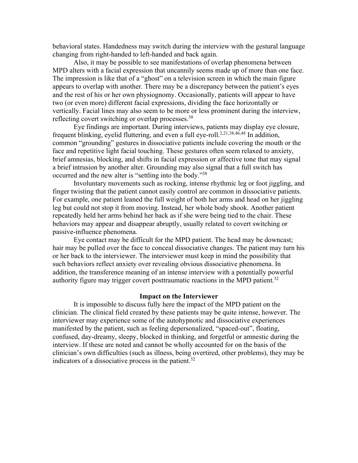behavioral states. Handedness may switch during the interview with the gestural language changing from right-handed to left-handed and back again.

Also, it may be possible to see manifestations of overlap phenomena between MPD alters with a facial expression that uncannily seems made up of more than one face. The impression is like that of a "ghost" on a television screen in which the main figure appears to overlap with another. There may be a discrepancy between the patient's eyes and the rest of his or her own physiognomy. Occasionally, patients will appear to have two (or even more) different facial expressions, dividing the face horizontally or vertically. Facial lines may also seem to be more or less prominent during the interview, reflecting covert switching or overlap processes.<sup>38</sup>

Eye findings are important. During interviews, patients may display eye closure, frequent blinking, eyelid fluttering, and even a full eye-roll.<sup>2,21,38,46,48</sup> In addition, common "grounding" gestures in dissociative patients include covering the mouth or the face and repetitive light facial touching. These gestures often seem relaxed to anxiety, brief amnesias, blocking, and shifts in facial expression or affective tone that may signal a brief intrusion by another alter. Grounding may also signal that a full switch has occurred and the new alter is "settling into the body."38

Involuntary movements such as rocking, intense rhythmic leg or foot jiggling, and finger twisting that the patient cannot easily control are common in dissociative patients. For example, one patient leaned the full weight of both her arms and head on her jiggling leg but could not stop it from moving. Instead, her whole body shook. Another patient repeatedly held her arms behind her back as if she were being tied to the chair. These behaviors may appear and disappear abruptly, usually related to covert switching or passive-influence phenomena.

Eye contact may be difficult for the MPD patient. The head may be downcast; hair may be pulled over the face to conceal dissociative changes. The patient may turn his or her back to the interviewer. The interviewer must keep in mind the possibility that such behaviors reflect anxiety over revealing obvious dissociative phenomena. In addition, the transference meaning of an intense interview with a potentially powerful authority figure may trigger covert posttraumatic reactions in the MPD patient.<sup>32</sup>

#### **Impact on the Interviewer**

It is impossible to discuss fully here the impact of the MPD patient on the clinician. The clinical field created by these patients may be quite intense, however. The interviewer may experience some of the autohypnotic and dissociative experiences manifested by the patient, such as feeling depersonalized, "spaced-out", floating, confused, day-dreamy, sleepy, blocked in thinking, and forgetful or amnestic during the interview. If these are noted and cannot be wholly accounted for on the basis of the clinician's own difficulties (such as illness, being overtired, other problems), they may be indicators of a dissociative process in the patient.<sup>32</sup>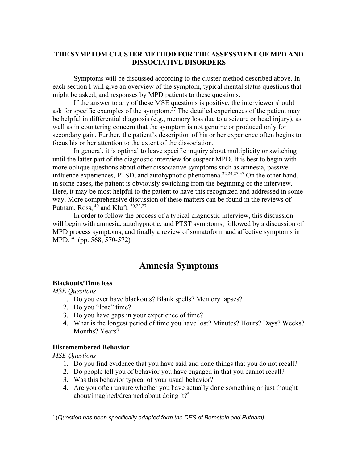#### **THE SYMPTOM CLUSTER METHOD FOR THE ASSESSMENT OF MPD AND DISSOCIATIVE DISORDERS**

Symptoms will be discussed according to the cluster method described above. In each section I will give an overview of the symptom, typical mental status questions that might be asked, and responses by MPD patients to these questions.

If the answer to any of these MSE questions is positive, the interviewer should ask for specific examples of the symptom.<sup>37</sup> The detailed experiences of the patient may be helpful in differential diagnosis (e.g., memory loss due to a seizure or head injury), as well as in countering concern that the symptom is not genuine or produced only for secondary gain. Further, the patient's description of his or her experience often begins to focus his or her attention to the extent of the dissociation.

In general, it is optimal to leave specific inquiry about multiplicity or switching until the latter part of the diagnostic interview for suspect MPD. It is best to begin with more oblique questions about other dissociative symptoms such as amnesia, passiveinfluence experiences, PTSD, and autohypnotic phenomena.<sup>22,24,27,37</sup> On the other hand, in some cases, the patient is obviously switching from the beginning of the interview. Here, it may be most helpful to the patient to have this recognized and addressed in some way. More comprehensive discussion of these matters can be found in the reviews of Putnam, Ross, <sup>40</sup> and Kluft. <sup>20,22,27</sup>

In order to follow the process of a typical diagnostic interview, this discussion will begin with amnesia, autohypnotic, and PTST symptoms, followed by a discussion of MPD process symptoms, and finally a review of somatoform and affective symptoms in MPD. " (pp. 568, 570-572)

## **Amnesia Symptoms**

#### **Blackouts/Time loss**

*MSE Questions*

- 1. Do you ever have blackouts? Blank spells? Memory lapses?
- 2. Do you "lose" time?
- 3. Do you have gaps in your experience of time?
- 4. What is the longest period of time you have lost? Minutes? Hours? Days? Weeks? Months? Years?

#### **Disremembered Behavior**

- 1. Do you find evidence that you have said and done things that you do not recall?
- 2. Do people tell you of behavior you have engaged in that you cannot recall?
- 3. Was this behavior typical of your usual behavior?
- 4. Are you often unsure whether you have actually done something or just thought about/imagined/dreamed about doing it?\*

<sup>\*</sup> (*Question has been specifically adapted form the DES of Bernstein and Putnam)*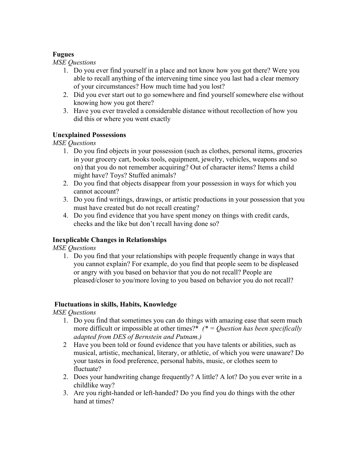#### **Fugues**

*MSE Questions*

- 1. Do you ever find yourself in a place and not know how you got there? Were you able to recall anything of the intervening time since you last had a clear memory of your circumstances? How much time had you lost?
- 2. Did you ever start out to go somewhere and find yourself somewhere else without knowing how you got there?
- 3. Have you ever traveled a considerable distance without recollection of how you did this or where you went exactly

### **Unexplained Possessions**

*MSE Questions*

- 1. Do you find objects in your possession (such as clothes, personal items, groceries in your grocery cart, books tools, equipment, jewelry, vehicles, weapons and so on) that you do not remember acquiring? Out of character items? Items a child might have? Toys? Stuffed animals?
- 2. Do you find that objects disappear from your possession in ways for which you cannot account?
- 3. Do you find writings, drawings, or artistic productions in your possession that you must have created but do not recall creating?
- 4. Do you find evidence that you have spent money on things with credit cards, checks and the like but don't recall having done so?

### **Inexplicable Changes in Relationships**

*MSE Questions*

1. Do you find that your relationships with people frequently change in ways that you cannot explain? For example, do you find that people seem to be displeased or angry with you based on behavior that you do not recall? People are pleased/closer to you/more loving to you based on behavior you do not recall?

#### **Fluctuations in skills, Habits, Knowledge**

- 1. Do you find that sometimes you can do things with amazing ease that seem much more difficult or impossible at other times?\* *(\* = Question has been specifically adapted from DES of Bernstein and Putnam.)*
- 2 Have you been told or found evidence that you have talents or abilities, such as musical, artistic, mechanical, literary, or athletic, of which you were unaware? Do your tastes in food preference, personal habits, music, or clothes seem to fluctuate?
- 2. Does your handwriting change frequently? A little? A lot? Do you ever write in a childlike way?
- 3. Are you right-handed or left-handed? Do you find you do things with the other hand at times?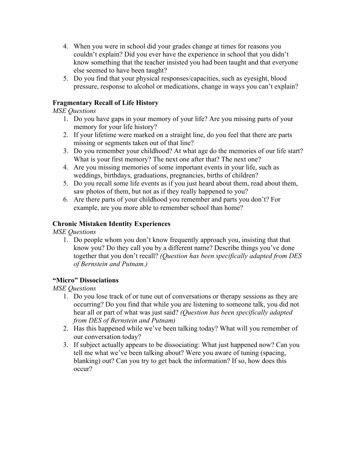- 4. When you were in school did your grades change at times for reasons you couldn't explain? Did you ever have the experience in school that you didn't know something that the teacher insisted you had been taught and that everyone else seemed to have been taught?
- 5. Do you find that your physical responses/capacities, such as eyesight, blood pressure, response to alcohol or medications, change in ways you can't explain?

### **Fragmentary Recall of Life History**

#### *MSE Questions*

- 1. Do you have gaps in your memory of your life? Are you missing parts of your memory for your life history?
- 2. If your lifetime were marked on a straight line, do you feel that there are parts missing or segments taken out of that line?
- 3. Do you remember your childhood? At what age do the memories of our life start? What is your first memory? The next one after that? The next one?
- 4. Are you missing memories of some important events in your life, such as weddings, birthdays, graduations, pregnancies, births of children?
- 5. Do you recall some life events as if you just heard about them, read about them, saw photos of them, but not as if they really happened to you?
- 6. Are there parts of your childhood you remember and parts you don't? For example, are you more able to remember school than home?

### **Chronic Mistaken Identity Experiences**

*MSE Questions*

1. Do people whom you don't know frequently approach you, insisting that that know you? Do they call you by a different name? Describe things you've done together that you don't recall? *(Question has been specifically adapted from DES of Bernstein and Putnam.)*

### **"Micro" Dissociations**

- 1. Do you lose track of or tune out of conversations or therapy sessions as they are occurring? Do you find that while you are listening to someone talk, you did not hear all or part of what was just said? *(Question has been specifically adapted from DES of Bernstein and Putnam)*
- 2. Has this happened while we've been talking today? What will you remember of our conversation today?
- 3. If subject actually appears to be dissociating: What just happened now? Can you tell me what we've been talking about? Were you aware of tuning (spacing, blanking) out? Can you try to get back the information? If so, how does this occur?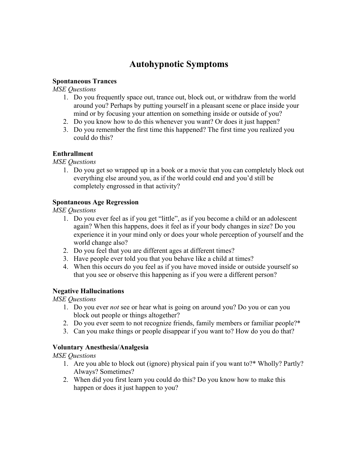# **Autohypnotic Symptoms**

#### **Spontaneous Trances**

*MSE Questions*

- 1. Do you frequently space out, trance out, block out, or withdraw from the world around you? Perhaps by putting yourself in a pleasant scene or place inside your mind or by focusing your attention on something inside or outside of you?
- 2. Do you know how to do this whenever you want? Or does it just happen?
- 3. Do you remember the first time this happened? The first time you realized you could do this?

#### **Enthrallment**

*MSE Questions*

1. Do you get so wrapped up in a book or a movie that you can completely block out everything else around you, as if the world could end and you'd still be completely engrossed in that activity?

#### **Spontaneous Age Regression**

*MSE Questions*

- 1. Do you ever feel as if you get "little", as if you become a child or an adolescent again? When this happens, does it feel as if your body changes in size? Do you experience it in your mind only or does your whole perception of yourself and the world change also?
- 2. Do you feel that you are different ages at different times?
- 3. Have people ever told you that you behave like a child at times?
- 4. When this occurs do you feel as if you have moved inside or outside yourself so that you see or observe this happening as if you were a different person?

#### **Negative Hallucinations**

*MSE Questions*

- 1. Do you ever *not* see or hear what is going on around you? Do you or can you block out people or things altogether?
- 2. Do you ever seem to not recognize friends, family members or familiar people?\*
- 3. Can you make things or people disappear if you want to? How do you do that?

### **Voluntary Anesthesia/Analgesia**

- 1. Are you able to block out (ignore) physical pain if you want to?\* Wholly? Partly? Always? Sometimes?
- 2. When did you first learn you could do this? Do you know how to make this happen or does it just happen to you?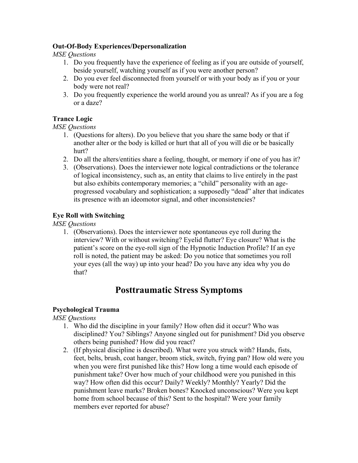#### **Out-Of-Body Experiences/Depersonalization**

*MSE Questions*

- 1. Do you frequently have the experience of feeling as if you are outside of yourself, beside yourself, watching yourself as if you were another person?
- 2. Do you ever feel disconnected from yourself or with your body as if you or your body were not real?
- 3. Do you frequently experience the world around you as unreal? As if you are a fog or a daze?

### **Trance Logic**

*MSE Questions*

- 1. (Questions for alters). Do you believe that you share the same body or that if another alter or the body is killed or hurt that all of you will die or be basically hurt?
- 2. Do all the alters/entities share a feeling, thought, or memory if one of you has it?
- 3. (Observations). Does the interviewer note logical contradictions or the tolerance of logical inconsistency, such as, an entity that claims to live entirely in the past but also exhibits contemporary memories; a "child" personality with an ageprogressed vocabulary and sophistication; a supposedly "dead" alter that indicates its presence with an ideomotor signal, and other inconsistencies?

#### **Eye Roll with Switching**

*MSE Questions*

1. (Observations). Does the interviewer note spontaneous eye roll during the interview? With or without switching? Eyelid flutter? Eye closure? What is the patient's score on the eye-roll sign of the Hypnotic Induction Profile? If an eye roll is noted, the patient may be asked: Do you notice that sometimes you roll your eyes (all the way) up into your head? Do you have any idea why you do that?

# **Posttraumatic Stress Symptoms**

#### **Psychological Trauma**

- 1. Who did the discipline in your family? How often did it occur? Who was disciplined? You? Siblings? Anyone singled out for punishment? Did you observe others being punished? How did you react?
- 2. (If physical discipline is described). What were you struck with? Hands, fists, feet, belts, brush, coat hanger, broom stick, switch, frying pan? How old were you when you were first punished like this? How long a time would each episode of punishment take? Over how much of your childhood were you punished in this way? How often did this occur? Daily? Weekly? Monthly? Yearly? Did the punishment leave marks? Broken bones? Knocked unconscious? Were you kept home from school because of this? Sent to the hospital? Were your family members ever reported for abuse?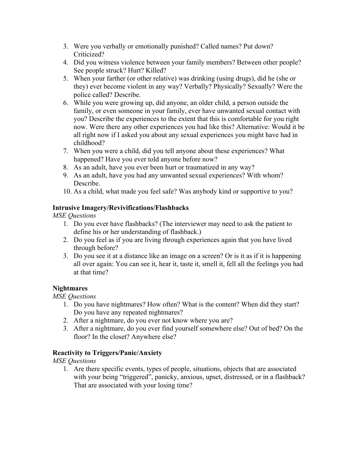- 3. Were you verbally or emotionally punished? Called names? Put down? Criticized?
- 4. Did you witness violence between your family members? Between other people? See people struck? Hurt? Killed?
- 5. When your farther (or other relative) was drinking (using drugs), did he (she or they) ever become violent in any way? Verbally? Physically? Sexually? Were the police called? Describe.
- 6. While you were growing up, did anyone, an older child, a person outside the family, or even someone in your family, ever have unwanted sexual contact with you? Describe the experiences to the extent that this is comfortable for you right now. Were there any other experiences you had like this? Alternative: Would it be all right now if I asked you about any sexual experiences you might have had in childhood?
- 7. When you were a child, did you tell anyone about these experiences? What happened? Have you ever told anyone before now?
- 8. As an adult, have you ever been hurt or traumatized in any way?
- 9. As an adult, have you had any unwanted sexual experiences? With whom? Describe.
- 10. As a child, what made you feel safe? Was anybody kind or supportive to you?

#### **Intrusive Imagery/Revivifications/Flashbacks**

*MSE Questions*

- 1. Do you ever have flashbacks? (The interviewer may need to ask the patient to define his or her understanding of flashback.)
- 2. Do you feel as if you are living through experiences again that you have lived through before?
- 3. Do you see it at a distance like an image on a screen? Or is it as if it is happening all over again: You can see it, hear it, taste it, smell it, fell all the feelings you had at that time?

#### **Nightmares**

*MSE Questions*

- 1. Do you have nightmares? How often? What is the content? When did they start? Do you have any repeated nightmares?
- 2. After a nightmare, do you ever not know where you are?
- 3. After a nightmare, do you ever find yourself somewhere else? Out of bed? On the floor? In the closet? Anywhere else?

#### **Reactivity to Triggers/Panic/Anxiety**

*MSE Questions*

1. Are there specific events, types of people, situations, objects that are associated with your being "triggered", panicky, anxious, upset, distressed, or in a flashback? That are associated with your losing time?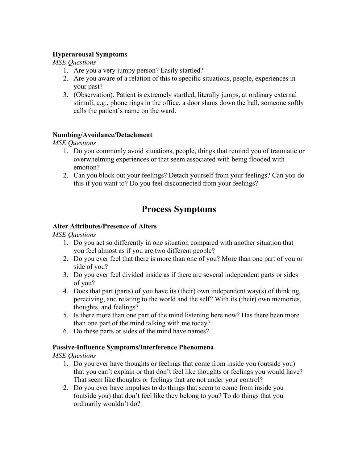#### **Hyperarousal Symptoms**

*MSE Questions*

- 1. Are you a very jumpy person? Easily startled?
- 2. Are you aware of a relation of this to specific situations, people, experiences in your past?
- 3. (Observation). Patient is extremely startled, literally jumps, at ordinary external stimuli, e.g., phone rings in the office, a door slams down the hall, someone softly calls the patient's name on the ward.

#### **Numbing/Avoidance/Detachment**

*MSE Questions*

- 1. Do you commonly avoid situations, people, things that remind you of traumatic or overwhelming experiences or that seem associated with being flooded with emotion?
- 2. Can you block out your feelings? Detach yourself from your feelings? Can you do this if you want to? Do you feel disconnected from your feelings?

# **Process Symptoms**

#### **Alter Attributes/Presence of Alters**

*MSE Questions*

- 1. Do you act so differently in one situation compared with another situation that you feel almost as if you are two different people?
- 2. Do you ever feel that there is more than one of you? More than one part of you or side of you?
- 3. Do you ever feel divided inside as if there are several independent parts or sides of you?
- 4. Does that part (parts) of you have its (their) own independent way(s) of thinking, perceiving, and relating to the world and the self? With its (their) own memories, thoughts, and feelings?
- 5. Is there more than one part of the mind listening here now? Has there been more than one part of the mind talking with me today?
- 6. Do these parts or sides of the mind have names?

#### **Passive-Influence Symptoms/Interference Phenomena**

- 1. Do you ever have thoughts or feelings that come from inside you (outside you) that you can't explain or that don't feel like thoughts or feelings you would have? That seem like thoughts or feelings that are not under your control?
- 2. Do you ever have impulses to do things that seem to come from inside you (outside you) that don't feel like they belong to you? To do things that you ordinarily wouldn't do?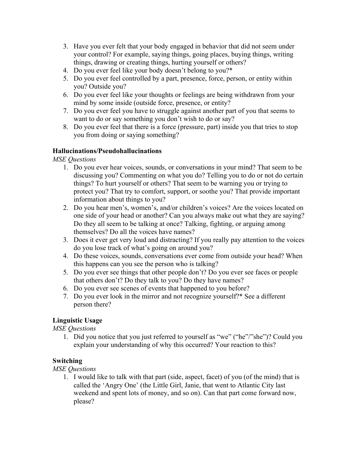- 3. Have you ever felt that your body engaged in behavior that did not seem under your control? For example, saying things, going places, buying things, writing things, drawing or creating things, hurting yourself or others?
- 4. Do you ever feel like your body doesn't belong to you?\*
- 5. Do you ever feel controlled by a part, presence, force, person, or entity within you? Outside you?
- 6. Do you ever feel like your thoughts or feelings are being withdrawn from your mind by some inside (outside force, presence, or entity?
- 7. Do you ever feel you have to struggle against another part of you that seems to want to do or say something you don't wish to do or say?
- 8. Do you ever feel that there is a force (pressure, part) inside you that tries to stop you from doing or saying something?

#### **Hallucinations/Pseudohallucinations**

*MSE Questions*

- 1. Do you ever hear voices, sounds, or conversations in your mind? That seem to be discussing you? Commenting on what you do? Telling you to do or not do certain things? To hurt yourself or others? That seem to be warning you or trying to protect you? That try to comfort, support, or soothe you? That provide important information about things to you?
- 2. Do you hear men's, women's, and/or children's voices? Are the voices located on one side of your head or another? Can you always make out what they are saying? Do they all seem to be talking at once? Talking, fighting, or arguing among themselves? Do all the voices have names?
- 3. Does it ever get very loud and distracting? If you really pay attention to the voices do you lose track of what's going on around you?
- 4. Do these voices, sounds, conversations ever come from outside your head? When this happens can you see the person who is talking?
- 5. Do you ever see things that other people don't? Do you ever see faces or people that others don't? Do they talk to you? Do they have names?
- 6. Do you ever see scenes of events that happened to you before?
- 7. Do you ever look in the mirror and not recognize yourself?\* See a different person there?

### **Linguistic Usage**

*MSE Questions*

1. Did you notice that you just referred to yourself as "we" ("he"/"she")? Could you explain your understanding of why this occurred? Your reaction to this?

### **Switching**

*MSE Questions*

1. I would like to talk with that part (side, aspect, facet) of you (of the mind) that is called the 'Angry One' (the Little Girl, Janie, that went to Atlantic City last weekend and spent lots of money, and so on). Can that part come forward now, please?